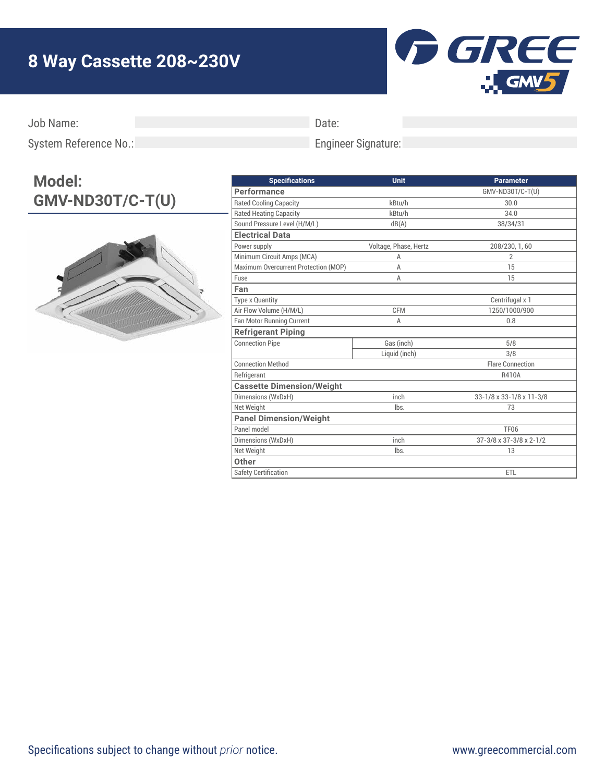## **8 Way Cassette 208~230V**



Job Name:

Date:

Engineer Signature:

System Reference No.:

## **Model: GMV-ND30T/C-T(U)**



| <b>Specifications</b>                | Unit                  | <b>Parameter</b>         |
|--------------------------------------|-----------------------|--------------------------|
| <b>Performance</b>                   |                       | GMV-ND30T/C-T(U)         |
| <b>Rated Cooling Capacity</b>        | kBtu/h                | 30.0                     |
| <b>Rated Heating Capacity</b>        | kBtu/h                | 34.0                     |
| Sound Pressure Level (H/M/L)         | dB(A)                 | 38/34/31                 |
| <b>Electrical Data</b>               |                       |                          |
| Power supply                         | Voltage, Phase, Hertz | 208/230, 1, 60           |
| Minimum Circuit Amps (MCA)           | A                     | $\overline{2}$           |
| Maximum Overcurrent Protection (MOP) | A                     | 15                       |
| Fuse                                 | A                     | 15                       |
| Fan                                  |                       |                          |
| <b>Type x Quantity</b>               |                       | Centrifugal x 1          |
| Air Flow Volume (H/M/L)              | <b>CFM</b>            | 1250/1000/900            |
| <b>Fan Motor Running Current</b>     | A                     | 0.8                      |
| <b>Refrigerant Piping</b>            |                       |                          |
| <b>Connection Pipe</b>               | Gas (inch)            | 5/8                      |
|                                      | Liquid (inch)         | 3/8                      |
| <b>Connection Method</b>             |                       | <b>Flare Connection</b>  |
| Refrigerant                          |                       | R410A                    |
| <b>Cassette Dimension/Weight</b>     |                       |                          |
| Dimensions (WxDxH)                   | inch                  | 33-1/8 x 33-1/8 x 11-3/8 |
| Net Weight                           | lbs.                  | 73                       |
| <b>Panel Dimension/Weight</b>        |                       |                          |
| Panel model                          |                       | <b>TF06</b>              |
| Dimensions (WxDxH)                   | inch                  | 37-3/8 x 37-3/8 x 2-1/2  |
| Net Weight                           | lbs.                  | 13                       |
| Other                                |                       |                          |
| <b>Safety Certification</b>          |                       | <b>ETL</b>               |